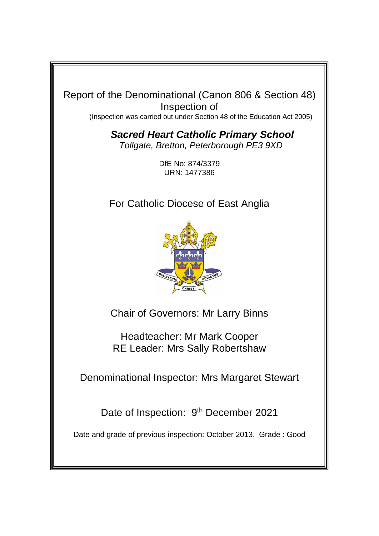

*Sacred Heart Catholic Primary School Tollgate, Bretton, Peterborough PE3 9XD*

> DfE No: 874/3379 URN: 1477386

For Catholic Diocese of East Anglia



Chair of Governors: Mr Larry Binns

Headteacher: Mr Mark Cooper RE Leader: Mrs Sally Robertshaw

Denominational Inspector: Mrs Margaret Stewart

Date of Inspection: 9<sup>th</sup> December 2021

Date and grade of previous inspection: October 2013. Grade : Good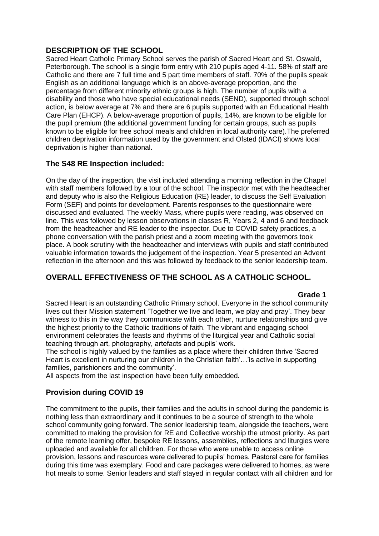### **DESCRIPTION OF THE SCHOOL**

Sacred Heart Catholic Primary School serves the parish of Sacred Heart and St. Oswald, Peterborough. The school is a single form entry with 210 pupils aged 4-11. 58% of staff are Catholic and there are 7 full time and 5 part time members of staff. 70% of the pupils speak English as an additional language which is an above-average proportion, and the percentage from different minority ethnic groups is high. The number of pupils with a disability and those who have special educational needs (SEND), supported through school action, is below average at 7% and there are 6 pupils supported with an Educational Health Care Plan (EHCP). A below-average proportion of pupils, 14%, are known to be eligible for the pupil premium (the additional government funding for certain groups, such as pupils known to be eligible for free school meals and children in local authority care).The preferred children deprivation information used by the government and Ofsted (IDACI) shows local deprivation is higher than national.

# **The S48 RE Inspection included:**

On the day of the inspection, the visit included attending a morning reflection in the Chapel with staff members followed by a tour of the school. The inspector met with the headteacher and deputy who is also the Religious Education (RE) leader, to discuss the Self Evaluation Form (SEF) and points for development. Parents responses to the questionnaire were discussed and evaluated. The weekly Mass, where pupils were reading, was observed on line. This was followed by lesson observations in classes R, Years 2, 4 and 6 and feedback from the headteacher and RE leader to the inspector. Due to COVID safety practices, a phone conversation with the parish priest and a zoom meeting with the governors took place. A book scrutiny with the headteacher and interviews with pupils and staff contributed valuable information towards the judgement of the inspection. Year 5 presented an Advent reflection in the afternoon and this was followed by feedback to the senior leadership team.

# **OVERALL EFFECTIVENESS OF THE SCHOOL AS A CATHOLIC SCHOOL.**

### **Grade 1**

Sacred Heart is an outstanding Catholic Primary school. Everyone in the school community lives out their Mission statement 'Together we live and learn, we play and pray'. They bear witness to this in the way they communicate with each other, nurture relationships and give the highest priority to the Catholic traditions of faith. The vibrant and engaging school environment celebrates the feasts and rhythms of the liturgical year and Catholic social teaching through art, photography, artefacts and pupils' work.

The school is highly valued by the families as a place where their children thrive 'Sacred Heart is excellent in nurturing our children in the Christian faith'...' is active in supporting families, parishioners and the community'.

All aspects from the last inspection have been fully embedded.

# **Provision during COVID 19**

The commitment to the pupils, their families and the adults in school during the pandemic is nothing less than extraordinary and it continues to be a source of strength to the whole school community going forward. The senior leadership team, alongside the teachers, were committed to making the provision for RE and Collective worship the utmost priority. As part of the remote learning offer, bespoke RE lessons, assemblies, reflections and liturgies were uploaded and available for all children. For those who were unable to access online provision, lessons and resources were delivered to pupils' homes. Pastoral care for families during this time was exemplary. Food and care packages were delivered to homes, as were hot meals to some. Senior leaders and staff stayed in regular contact with all children and for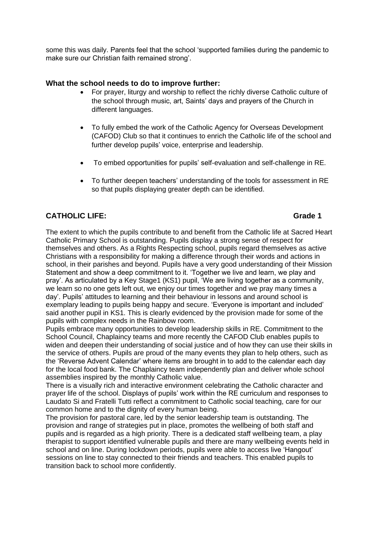some this was daily. Parents feel that the school 'supported families during the pandemic to make sure our Christian faith remained strong'.

### **What the school needs to do to improve further:**

- For prayer, liturgy and worship to reflect the richly diverse Catholic culture of the school through music, art, Saints' days and prayers of the Church in different languages.
- To fully embed the work of the Catholic Agency for Overseas Development (CAFOD) Club so that it continues to enrich the Catholic life of the school and further develop pupils' voice, enterprise and leadership.
- To embed opportunities for pupils' self-evaluation and self-challenge in RE.
- To further deepen teachers' understanding of the tools for assessment in RE so that pupils displaying greater depth can be identified.

# **CATHOLIC LIFE:** Grade 1

The extent to which the pupils contribute to and benefit from the Catholic life at Sacred Heart Catholic Primary School is outstanding. Pupils display a strong sense of respect for themselves and others. As a Rights Respecting school, pupils regard themselves as active Christians with a responsibility for making a difference through their words and actions in school, in their parishes and beyond. Pupils have a very good understanding of their Mission Statement and show a deep commitment to it. 'Together we live and learn, we play and pray'. As articulated by a Key Stage1 (KS1) pupil, 'We are living together as a community, we learn so no one gets left out, we enjoy our times together and we pray many times a day'. Pupils' attitudes to learning and their behaviour in lessons and around school is exemplary leading to pupils being happy and secure. 'Everyone is important and included' said another pupil in KS1. This is clearly evidenced by the provision made for some of the pupils with complex needs in the Rainbow room.

Pupils embrace many opportunities to develop leadership skills in RE. Commitment to the School Council, Chaplaincy teams and more recently the CAFOD Club enables pupils to widen and deepen their understanding of social justice and of how they can use their skills in the service of others. Pupils are proud of the many events they plan to help others, such as the 'Reverse Advent Calendar' where items are brought in to add to the calendar each day for the local food bank. The Chaplaincy team independently plan and deliver whole school assemblies inspired by the monthly Catholic value.

There is a visually rich and interactive environment celebrating the Catholic character and prayer life of the school. Displays of pupils' work within the RE curriculum and responses to Laudato Si and Fratelli Tutti reflect a commitment to Catholic social teaching, care for our common home and to the dignity of every human being.

The provision for pastoral care, led by the senior leadership team is outstanding. The provision and range of strategies put in place, promotes the wellbeing of both staff and pupils and is regarded as a high priority. There is a dedicated staff wellbeing team, a play therapist to support identified vulnerable pupils and there are many wellbeing events held in school and on line. During lockdown periods, pupils were able to access live 'Hangout' sessions on line to stay connected to their friends and teachers. This enabled pupils to transition back to school more confidently.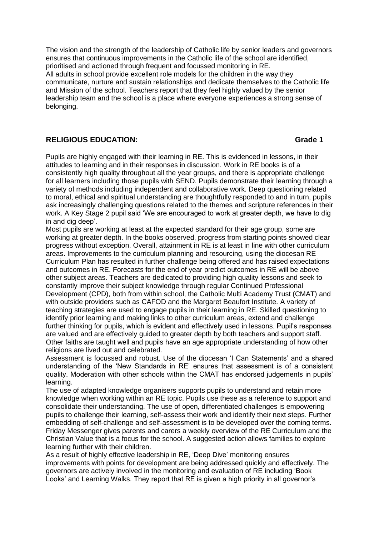The vision and the strength of the leadership of Catholic life by senior leaders and governors ensures that continuous improvements in the Catholic life of the school are identified, prioritised and actioned through frequent and focussed monitoring in RE. All adults in school provide excellent role models for the children in the way they communicate, nurture and sustain relationships and dedicate themselves to the Catholic life and Mission of the school. Teachers report that they feel highly valued by the senior leadership team and the school is a place where everyone experiences a strong sense of belonging.

### **RELIGIOUS EDUCATION: Grade 1**

Pupils are highly engaged with their learning in RE. This is evidenced in lessons, in their attitudes to learning and in their responses in discussion. Work in RE books is of a consistently high quality throughout all the year groups, and there is appropriate challenge for all learners including those pupils with SEND. Pupils demonstrate their learning through a variety of methods including independent and collaborative work. Deep questioning related to moral, ethical and spiritual understanding are thoughtfully responded to and in turn, pupils ask increasingly challenging questions related to the themes and scripture references in their work. A Key Stage 2 pupil said 'We are encouraged to work at greater depth, we have to dig in and dig deep'.

Most pupils are working at least at the expected standard for their age group, some are working at greater depth. In the books observed, progress from starting points showed clear progress without exception. Overall, attainment in RE is at least in line with other curriculum areas. Improvements to the curriculum planning and resourcing, using the diocesan RE Curriculum Plan has resulted in further challenge being offered and has raised expectations and outcomes in RE. Forecasts for the end of year predict outcomes in RE will be above other subject areas. Teachers are dedicated to providing high quality lessons and seek to constantly improve their subject knowledge through regular Continued Professional Development (CPD), both from within school, the Catholic Multi Academy Trust (CMAT) and with outside providers such as CAFOD and the Margaret Beaufort Institute. A variety of teaching strategies are used to engage pupils in their learning in RE. Skilled questioning to identify prior learning and making links to other curriculum areas, extend and challenge further thinking for pupils, which is evident and effectively used in lessons. Pupil's responses are valued and are effectively guided to greater depth by both teachers and support staff. Other faiths are taught well and pupils have an age appropriate understanding of how other religions are lived out and celebrated.

Assessment is focussed and robust. Use of the diocesan 'I Can Statements' and a shared understanding of the 'New Standards in RE' ensures that assessment is of a consistent quality. Moderation with other schools within the CMAT has endorsed judgements in pupils' learning.

The use of adapted knowledge organisers supports pupils to understand and retain more knowledge when working within an RE topic. Pupils use these as a reference to support and consolidate their understanding. The use of open, differentiated challenges is empowering pupils to challenge their learning, self-assess their work and identify their next steps. Further embedding of self-challenge and self-assessment is to be developed over the coming terms. Friday Messenger gives parents and carers a weekly overview of the RE Curriculum and the Christian Value that is a focus for the school. A suggested action allows families to explore learning further with their children.

As a result of highly effective leadership in RE, 'Deep Dive' monitoring ensures improvements with points for development are being addressed quickly and effectively. The governors are actively involved in the monitoring and evaluation of RE including 'Book Looks' and Learning Walks. They report that RE is given a high priority in all governor's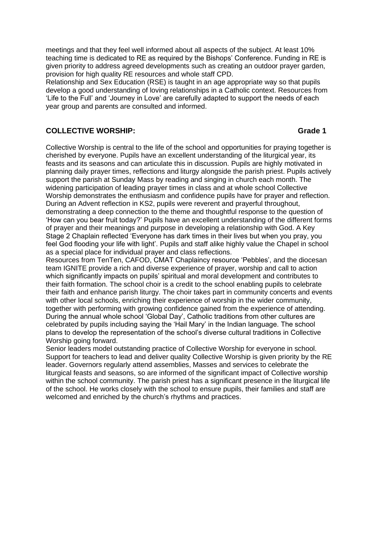meetings and that they feel well informed about all aspects of the subject. At least 10% teaching time is dedicated to RE as required by the Bishops' Conference. Funding in RE is given priority to address agreed developments such as creating an outdoor prayer garden, provision for high quality RE resources and whole staff CPD.

Relationship and Sex Education (RSE) is taught in an age appropriate way so that pupils develop a good understanding of loving relationships in a Catholic context. Resources from 'Life to the Full' and 'Journey in Love' are carefully adapted to support the needs of each year group and parents are consulted and informed.

## **COLLECTIVE WORSHIP: Grade 1**

Collective Worship is central to the life of the school and opportunities for praying together is cherished by everyone. Pupils have an excellent understanding of the liturgical year, its feasts and its seasons and can articulate this in discussion. Pupils are highly motivated in planning daily prayer times, reflections and liturgy alongside the parish priest. Pupils actively support the parish at Sunday Mass by reading and singing in church each month. The widening participation of leading prayer times in class and at whole school Collective Worship demonstrates the enthusiasm and confidence pupils have for prayer and reflection. During an Advent reflection in KS2, pupils were reverent and prayerful throughout, demonstrating a deep connection to the theme and thoughtful response to the question of 'How can you bear fruit today?' Pupils have an excellent understanding of the different forms of prayer and their meanings and purpose in developing a relationship with God. A Key Stage 2 Chaplain reflected 'Everyone has dark times in their lives but when you pray, you feel God flooding your life with light'. Pupils and staff alike highly value the Chapel in school as a special place for individual prayer and class reflections.

Resources from TenTen, CAFOD, CMAT Chaplaincy resource 'Pebbles', and the diocesan team IGNITE provide a rich and diverse experience of prayer, worship and call to action which significantly impacts on pupils' spiritual and moral development and contributes to their faith formation. The school choir is a credit to the school enabling pupils to celebrate their faith and enhance parish liturgy. The choir takes part in community concerts and events with other local schools, enriching their experience of worship in the wider community, together with performing with growing confidence gained from the experience of attending. During the annual whole school 'Global Day', Catholic traditions from other cultures are celebrated by pupils including saying the 'Hail Mary' in the Indian language. The school plans to develop the representation of the school's diverse cultural traditions in Collective Worship going forward.

Senior leaders model outstanding practice of Collective Worship for everyone in school. Support for teachers to lead and deliver quality Collective Worship is given priority by the RE leader. Governors regularly attend assemblies, Masses and services to celebrate the liturgical feasts and seasons, so are informed of the significant impact of Collective worship within the school community. The parish priest has a significant presence in the liturgical life of the school. He works closely with the school to ensure pupils, their families and staff are welcomed and enriched by the church's rhythms and practices.